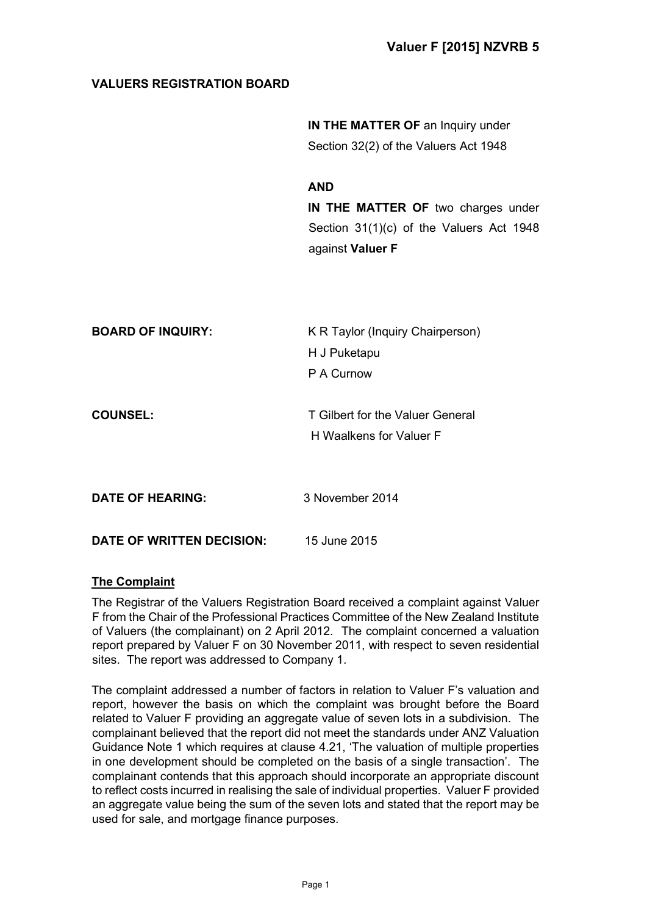# **VALUERS REGISTRATION BOARD**

**IN THE MATTER OF an Inquiry under** Section 32(2) of the Valuers Act 1948

**AND IN THE MATTER OF** two charges under Section 31(1)(c) of the Valuers Act 1948 against **Valuer F**

| <b>BOARD OF INQUIRY:</b>         | K R Taylor (Inquiry Chairperson) |
|----------------------------------|----------------------------------|
|                                  | H J Puketapu                     |
|                                  | P A Curnow                       |
|                                  |                                  |
| <b>COUNSEL:</b>                  | T Gilbert for the Valuer General |
|                                  | H Waalkens for Valuer F          |
|                                  |                                  |
|                                  |                                  |
| <b>DATE OF HEARING:</b>          | 3 November 2014                  |
|                                  |                                  |
| <b>DATE OF WRITTEN DECISION:</b> | 15 June 2015                     |

## **The Complaint**

The Registrar of the Valuers Registration Board received a complaint against Valuer F from the Chair of the Professional Practices Committee of the New Zealand Institute of Valuers (the complainant) on 2 April 2012. The complaint concerned a valuation report prepared by Valuer F on 30 November 2011, with respect to seven residential sites. The report was addressed to Company 1.

The complaint addressed a number of factors in relation to Valuer F's valuation and report, however the basis on which the complaint was brought before the Board related to Valuer F providing an aggregate value of seven lots in a subdivision. The complainant believed that the report did not meet the standards under ANZ Valuation Guidance Note 1 which requires at clause 4.21, 'The valuation of multiple properties in one development should be completed on the basis of a single transaction'. The complainant contends that this approach should incorporate an appropriate discount to reflect costs incurred in realising the sale of individual properties. Valuer F provided an aggregate value being the sum of the seven lots and stated that the report may be used for sale, and mortgage finance purposes.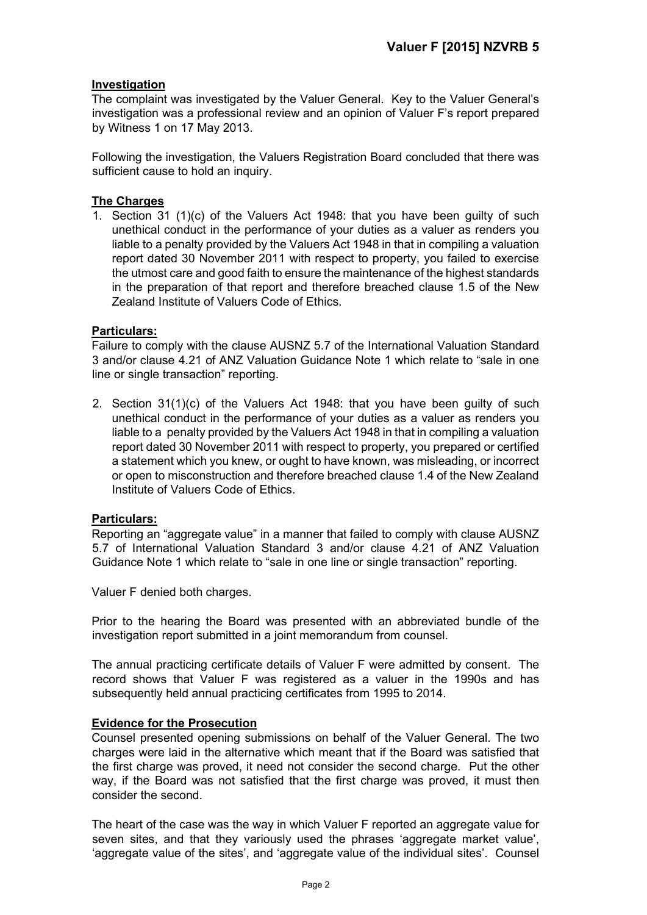## **Investigation**

The complaint was investigated by the Valuer General. Key to the Valuer General's investigation was a professional review and an opinion of Valuer F's report prepared by Witness 1 on 17 May 2013.

Following the investigation, the Valuers Registration Board concluded that there was sufficient cause to hold an inquiry.

## **The Charges**

1. Section 31 (1)(c) of the Valuers Act 1948: that you have been guilty of such unethical conduct in the performance of your duties as a valuer as renders you liable to a penalty provided by the Valuers Act 1948 in that in compiling a valuation report dated 30 November 2011 with respect to property, you failed to exercise the utmost care and good faith to ensure the maintenance of the highest standards in the preparation of that report and therefore breached clause 1.5 of the New Zealand Institute of Valuers Code of Ethics.

## **Particulars:**

Failure to comply with the clause AUSNZ 5.7 of the International Valuation Standard 3 and/or clause 4.21 of ANZ Valuation Guidance Note 1 which relate to "sale in one line or single transaction" reporting.

2. Section 31(1)(c) of the Valuers Act 1948: that you have been guilty of such unethical conduct in the performance of your duties as a valuer as renders you liable to a penalty provided by the Valuers Act 1948 in that in compiling a valuation report dated 30 November 2011 with respect to property, you prepared or certified a statement which you knew, or ought to have known, was misleading, or incorrect or open to misconstruction and therefore breached clause 1.4 of the New Zealand Institute of Valuers Code of Ethics.

## **Particulars:**

Reporting an "aggregate value" in a manner that failed to comply with clause AUSNZ 5.7 of International Valuation Standard 3 and/or clause 4.21 of ANZ Valuation Guidance Note 1 which relate to "sale in one line or single transaction" reporting.

Valuer F denied both charges.

Prior to the hearing the Board was presented with an abbreviated bundle of the investigation report submitted in a joint memorandum from counsel.

The annual practicing certificate details of Valuer F were admitted by consent. The record shows that Valuer F was registered as a valuer in the 1990s and has subsequently held annual practicing certificates from 1995 to 2014.

## **Evidence for the Prosecution**

Counsel presented opening submissions on behalf of the Valuer General. The two charges were laid in the alternative which meant that if the Board was satisfied that the first charge was proved, it need not consider the second charge. Put the other way, if the Board was not satisfied that the first charge was proved, it must then consider the second.

The heart of the case was the way in which Valuer F reported an aggregate value for seven sites, and that they variously used the phrases 'aggregate market value', 'aggregate value of the sites', and 'aggregate value of the individual sites'. Counsel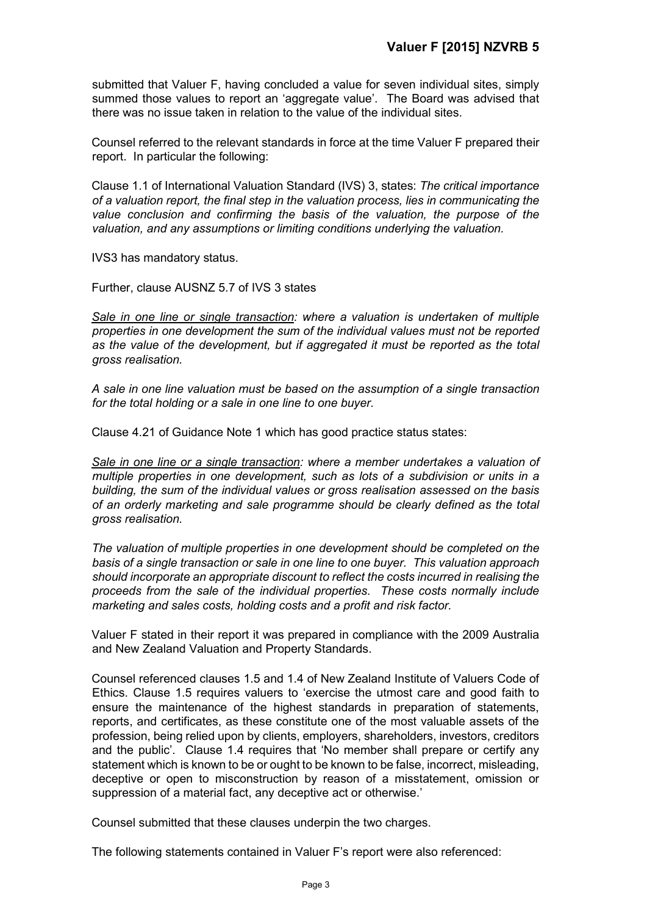submitted that Valuer F, having concluded a value for seven individual sites, simply summed those values to report an 'aggregate value'. The Board was advised that there was no issue taken in relation to the value of the individual sites.

Counsel referred to the relevant standards in force at the time Valuer F prepared their report. In particular the following:

Clause 1.1 of International Valuation Standard (IVS) 3, states: *The critical importance of a valuation report, the final step in the valuation process, lies in communicating the*  value conclusion and confirming the basis of the valuation, the purpose of the *valuation, and any assumptions or limiting conditions underlying the valuation.* 

IVS3 has mandatory status.

Further, clause AUSNZ 5.7 of IVS 3 states

*Sale in one line or single transaction: where a valuation is undertaken of multiple properties in one development the sum of the individual values must not be reported as the value of the development, but if aggregated it must be reported as the total gross realisation.* 

*A sale in one line valuation must be based on the assumption of a single transaction for the total holding or a sale in one line to one buyer.*

Clause 4.21 of Guidance Note 1 which has good practice status states:

*Sale in one line or a single transaction: where a member undertakes a valuation of multiple properties in one development, such as lots of a subdivision or units in a building, the sum of the individual values or gross realisation assessed on the basis of an orderly marketing and sale programme should be clearly defined as the total gross realisation.*

*The valuation of multiple properties in one development should be completed on the basis of a single transaction or sale in one line to one buyer. This valuation approach should incorporate an appropriate discount to reflect the costs incurred in realising the proceeds from the sale of the individual properties. These costs normally include marketing and sales costs, holding costs and a profit and risk factor.* 

Valuer F stated in their report it was prepared in compliance with the 2009 Australia and New Zealand Valuation and Property Standards.

Counsel referenced clauses 1.5 and 1.4 of New Zealand Institute of Valuers Code of Ethics. Clause 1.5 requires valuers to 'exercise the utmost care and good faith to ensure the maintenance of the highest standards in preparation of statements, reports, and certificates, as these constitute one of the most valuable assets of the profession, being relied upon by clients, employers, shareholders, investors, creditors and the public'. Clause 1.4 requires that 'No member shall prepare or certify any statement which is known to be or ought to be known to be false, incorrect, misleading, deceptive or open to misconstruction by reason of a misstatement, omission or suppression of a material fact, any deceptive act or otherwise.'

Counsel submitted that these clauses underpin the two charges.

The following statements contained in Valuer F's report were also referenced: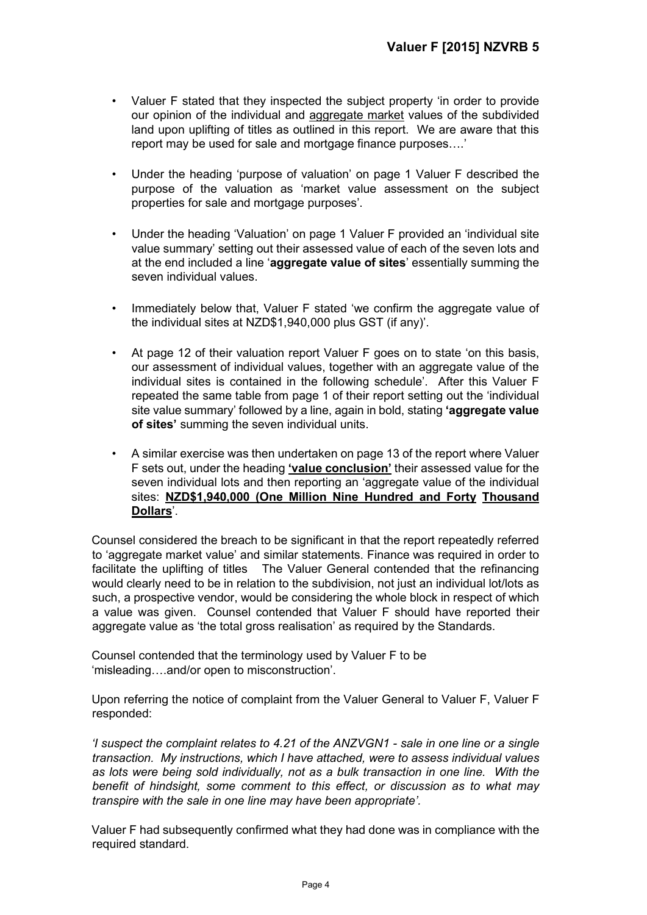- Valuer F stated that they inspected the subject property 'in order to provide our opinion of the individual and aggregate market values of the subdivided land upon uplifting of titles as outlined in this report. We are aware that this report may be used for sale and mortgage finance purposes….'
- Under the heading 'purpose of valuation' on page 1 Valuer F described the purpose of the valuation as 'market value assessment on the subject properties for sale and mortgage purposes'.
- Under the heading 'Valuation' on page 1 Valuer F provided an 'individual site value summary' setting out their assessed value of each of the seven lots and at the end included a line '**aggregate value of sites**' essentially summing the seven individual values.
- Immediately below that, Valuer F stated 'we confirm the aggregate value of the individual sites at NZD\$1,940,000 plus GST (if any)'.
- At page 12 of their valuation report Valuer F goes on to state 'on this basis, our assessment of individual values, together with an aggregate value of the individual sites is contained in the following schedule'. After this Valuer F repeated the same table from page 1 of their report setting out the 'individual site value summary' followed by a line, again in bold, stating **'aggregate value of sites'** summing the seven individual units.
- A similar exercise was then undertaken on page 13 of the report where Valuer F sets out, under the heading **'value conclusion'** their assessed value for the seven individual lots and then reporting an 'aggregate value of the individual sites: **NZD\$1,940,000 (One Million Nine Hundred and Forty Thousand Dollars**'.

Counsel considered the breach to be significant in that the report repeatedly referred to 'aggregate market value' and similar statements. Finance was required in order to facilitate the uplifting of titles The Valuer General contended that the refinancing would clearly need to be in relation to the subdivision, not just an individual lot/lots as such, a prospective vendor, would be considering the whole block in respect of which a value was given. Counsel contended that Valuer F should have reported their aggregate value as 'the total gross realisation' as required by the Standards.

Counsel contended that the terminology used by Valuer F to be 'misleading….and/or open to misconstruction'.

Upon referring the notice of complaint from the Valuer General to Valuer F, Valuer F responded:

*'I suspect the complaint relates to 4.21 of the ANZVGN1 - sale in one line or a single transaction. My instructions, which I have attached, were to assess individual values as lots were being sold individually, not as a bulk transaction in one line. With the benefit of hindsight, some comment to this effect, or discussion as to what may transpire with the sale in one line may have been appropriate'.* 

Valuer F had subsequently confirmed what they had done was in compliance with the required standard.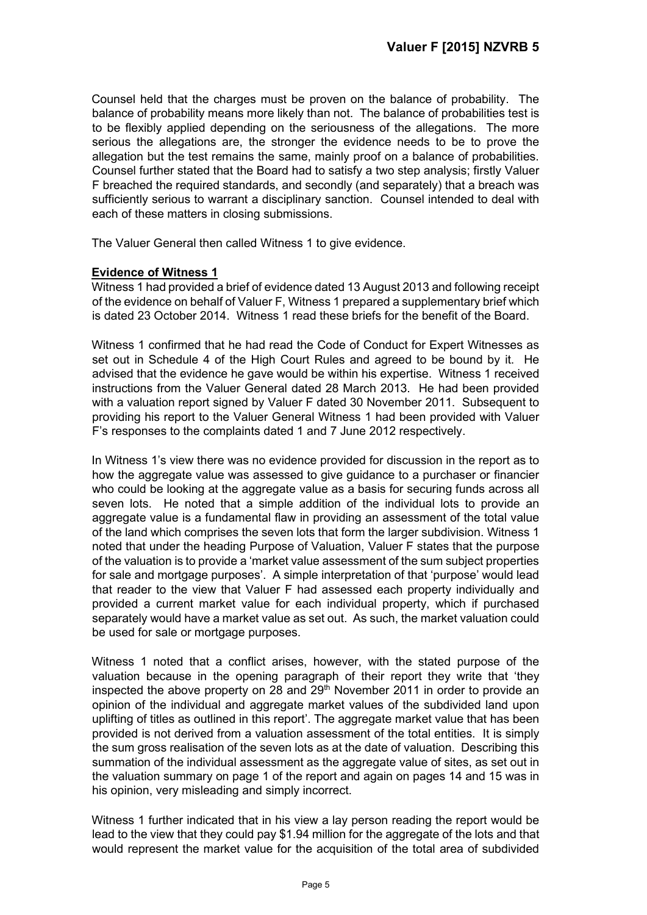Counsel held that the charges must be proven on the balance of probability. The balance of probability means more likely than not. The balance of probabilities test is to be flexibly applied depending on the seriousness of the allegations. The more serious the allegations are, the stronger the evidence needs to be to prove the allegation but the test remains the same, mainly proof on a balance of probabilities. Counsel further stated that the Board had to satisfy a two step analysis; firstly Valuer F breached the required standards, and secondly (and separately) that a breach was sufficiently serious to warrant a disciplinary sanction. Counsel intended to deal with each of these matters in closing submissions.

The Valuer General then called Witness 1 to give evidence.

## **Evidence of Witness 1**

Witness 1 had provided a brief of evidence dated 13 August 2013 and following receipt of the evidence on behalf of Valuer F, Witness 1 prepared a supplementary brief which is dated 23 October 2014. Witness 1 read these briefs for the benefit of the Board.

Witness 1 confirmed that he had read the Code of Conduct for Expert Witnesses as set out in Schedule 4 of the High Court Rules and agreed to be bound by it. He advised that the evidence he gave would be within his expertise. Witness 1 received instructions from the Valuer General dated 28 March 2013. He had been provided with a valuation report signed by Valuer F dated 30 November 2011. Subsequent to providing his report to the Valuer General Witness 1 had been provided with Valuer F's responses to the complaints dated 1 and 7 June 2012 respectively.

In Witness 1's view there was no evidence provided for discussion in the report as to how the aggregate value was assessed to give guidance to a purchaser or financier who could be looking at the aggregate value as a basis for securing funds across all seven lots. He noted that a simple addition of the individual lots to provide an aggregate value is a fundamental flaw in providing an assessment of the total value of the land which comprises the seven lots that form the larger subdivision. Witness 1 noted that under the heading Purpose of Valuation, Valuer F states that the purpose of the valuation is to provide a 'market value assessment of the sum subject properties for sale and mortgage purposes'. A simple interpretation of that 'purpose' would lead that reader to the view that Valuer F had assessed each property individually and provided a current market value for each individual property, which if purchased separately would have a market value as set out. As such, the market valuation could be used for sale or mortgage purposes.

Witness 1 noted that a conflict arises, however, with the stated purpose of the valuation because in the opening paragraph of their report they write that 'they inspected the above property on 28 and  $29<sup>th</sup>$  November 2011 in order to provide an opinion of the individual and aggregate market values of the subdivided land upon uplifting of titles as outlined in this report'. The aggregate market value that has been provided is not derived from a valuation assessment of the total entities. It is simply the sum gross realisation of the seven lots as at the date of valuation. Describing this summation of the individual assessment as the aggregate value of sites, as set out in the valuation summary on page 1 of the report and again on pages 14 and 15 was in his opinion, very misleading and simply incorrect.

Witness 1 further indicated that in his view a lay person reading the report would be lead to the view that they could pay \$1.94 million for the aggregate of the lots and that would represent the market value for the acquisition of the total area of subdivided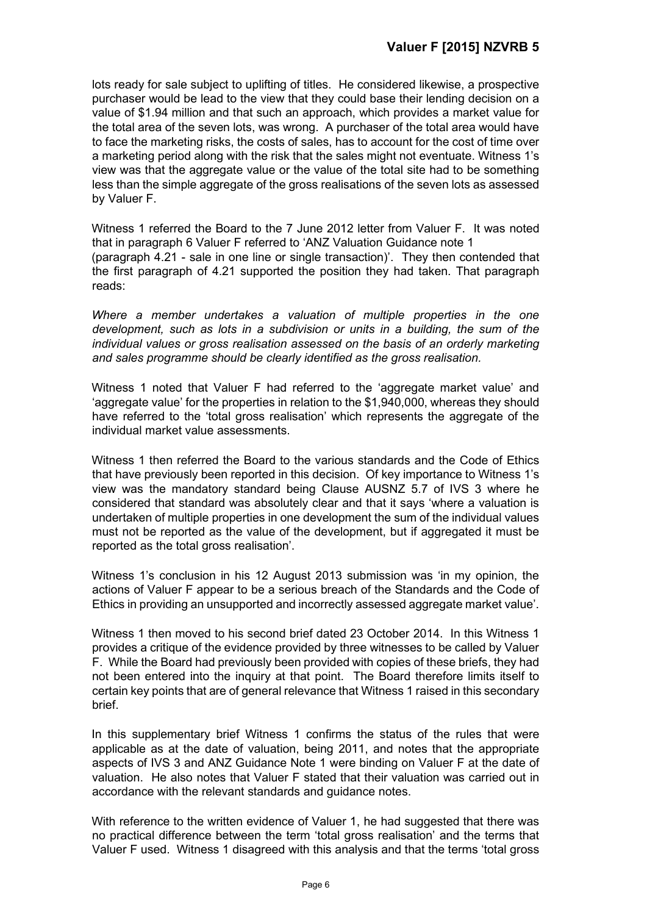lots ready for sale subject to uplifting of titles. He considered likewise, a prospective purchaser would be lead to the view that they could base their lending decision on a value of \$1.94 million and that such an approach, which provides a market value for the total area of the seven lots, was wrong. A purchaser of the total area would have to face the marketing risks, the costs of sales, has to account for the cost of time over a marketing period along with the risk that the sales might not eventuate. Witness 1's view was that the aggregate value or the value of the total site had to be something less than the simple aggregate of the gross realisations of the seven lots as assessed by Valuer F.

Witness 1 referred the Board to the 7 June 2012 letter from Valuer F. It was noted that in paragraph 6 Valuer F referred to 'ANZ Valuation Guidance note 1 (paragraph 4.21 - sale in one line or single transaction)'. They then contended that the first paragraph of 4.21 supported the position they had taken. That paragraph reads:

*Where a member undertakes a valuation of multiple properties in the one development, such as lots in a subdivision or units in a building, the sum of the individual values or gross realisation assessed on the basis of an orderly marketing and sales programme should be clearly identified as the gross realisation.* 

Witness 1 noted that Valuer F had referred to the 'aggregate market value' and 'aggregate value' for the properties in relation to the \$1,940,000, whereas they should have referred to the 'total gross realisation' which represents the aggregate of the individual market value assessments.

Witness 1 then referred the Board to the various standards and the Code of Ethics that have previously been reported in this decision. Of key importance to Witness 1's view was the mandatory standard being Clause AUSNZ 5.7 of IVS 3 where he considered that standard was absolutely clear and that it says 'where a valuation is undertaken of multiple properties in one development the sum of the individual values must not be reported as the value of the development, but if aggregated it must be reported as the total gross realisation'.

Witness 1's conclusion in his 12 August 2013 submission was 'in my opinion, the actions of Valuer F appear to be a serious breach of the Standards and the Code of Ethics in providing an unsupported and incorrectly assessed aggregate market value'.

Witness 1 then moved to his second brief dated 23 October 2014. In this Witness 1 provides a critique of the evidence provided by three witnesses to be called by Valuer F. While the Board had previously been provided with copies of these briefs, they had not been entered into the inquiry at that point. The Board therefore limits itself to certain key points that are of general relevance that Witness 1 raised in this secondary brief.

In this supplementary brief Witness 1 confirms the status of the rules that were applicable as at the date of valuation, being 2011, and notes that the appropriate aspects of IVS 3 and ANZ Guidance Note 1 were binding on Valuer F at the date of valuation. He also notes that Valuer F stated that their valuation was carried out in accordance with the relevant standards and guidance notes.

With reference to the written evidence of Valuer 1, he had suggested that there was no practical difference between the term 'total gross realisation' and the terms that Valuer F used. Witness 1 disagreed with this analysis and that the terms 'total gross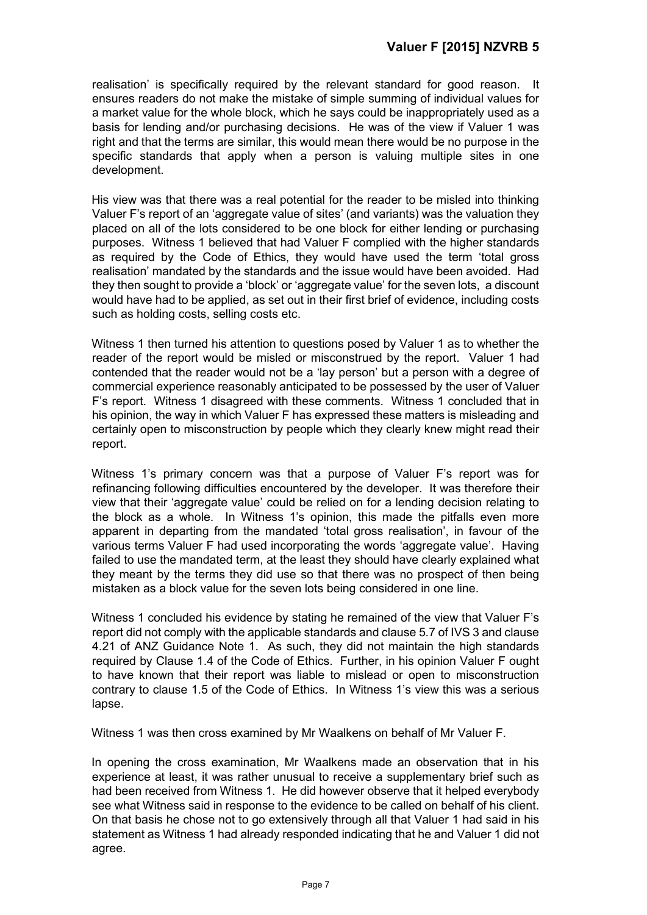realisation' is specifically required by the relevant standard for good reason. It ensures readers do not make the mistake of simple summing of individual values for a market value for the whole block, which he says could be inappropriately used as a basis for lending and/or purchasing decisions. He was of the view if Valuer 1 was right and that the terms are similar, this would mean there would be no purpose in the specific standards that apply when a person is valuing multiple sites in one development.

His view was that there was a real potential for the reader to be misled into thinking Valuer F's report of an 'aggregate value of sites' (and variants) was the valuation they placed on all of the lots considered to be one block for either lending or purchasing purposes. Witness 1 believed that had Valuer F complied with the higher standards as required by the Code of Ethics, they would have used the term 'total gross realisation' mandated by the standards and the issue would have been avoided. Had they then sought to provide a 'block' or 'aggregate value' for the seven lots, a discount would have had to be applied, as set out in their first brief of evidence, including costs such as holding costs, selling costs etc.

Witness 1 then turned his attention to questions posed by Valuer 1 as to whether the reader of the report would be misled or misconstrued by the report. Valuer 1 had contended that the reader would not be a 'lay person' but a person with a degree of commercial experience reasonably anticipated to be possessed by the user of Valuer F's report. Witness 1 disagreed with these comments. Witness 1 concluded that in his opinion, the way in which Valuer F has expressed these matters is misleading and certainly open to misconstruction by people which they clearly knew might read their report.

Witness 1's primary concern was that a purpose of Valuer F's report was for refinancing following difficulties encountered by the developer. It was therefore their view that their 'aggregate value' could be relied on for a lending decision relating to the block as a whole. In Witness 1's opinion, this made the pitfalls even more apparent in departing from the mandated 'total gross realisation', in favour of the various terms Valuer F had used incorporating the words 'aggregate value'. Having failed to use the mandated term, at the least they should have clearly explained what they meant by the terms they did use so that there was no prospect of then being mistaken as a block value for the seven lots being considered in one line.

Witness 1 concluded his evidence by stating he remained of the view that Valuer F's report did not comply with the applicable standards and clause 5.7 of IVS 3 and clause 4.21 of ANZ Guidance Note 1. As such, they did not maintain the high standards required by Clause 1.4 of the Code of Ethics. Further, in his opinion Valuer F ought to have known that their report was liable to mislead or open to misconstruction contrary to clause 1.5 of the Code of Ethics. In Witness 1's view this was a serious lapse.

Witness 1 was then cross examined by Mr Waalkens on behalf of Mr Valuer F.

In opening the cross examination, Mr Waalkens made an observation that in his experience at least, it was rather unusual to receive a supplementary brief such as had been received from Witness 1. He did however observe that it helped everybody see what Witness said in response to the evidence to be called on behalf of his client. On that basis he chose not to go extensively through all that Valuer 1 had said in his statement as Witness 1 had already responded indicating that he and Valuer 1 did not agree.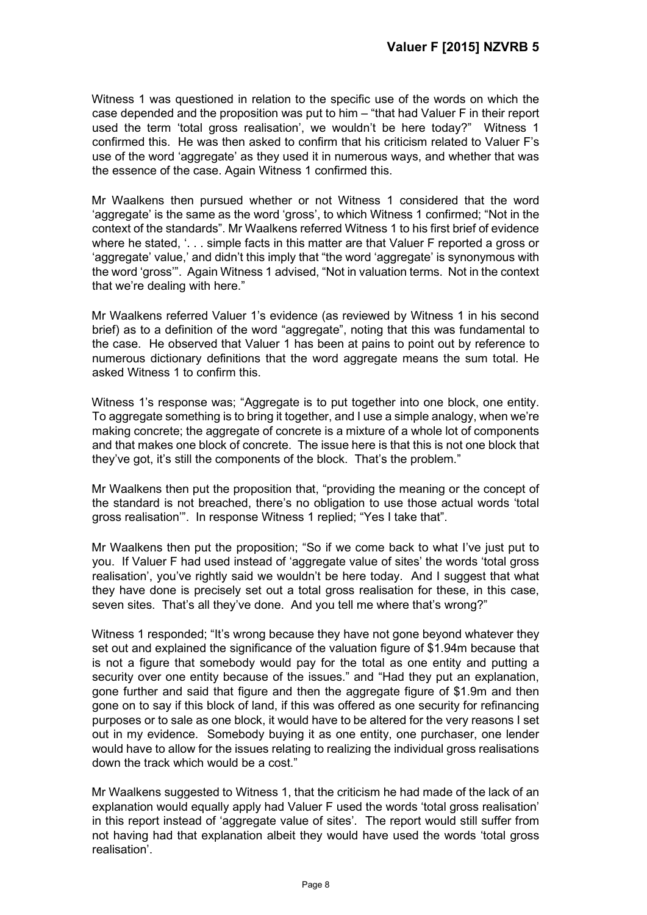Witness 1 was questioned in relation to the specific use of the words on which the case depended and the proposition was put to him – "that had Valuer F in their report used the term 'total gross realisation', we wouldn't be here today?" Witness 1 confirmed this. He was then asked to confirm that his criticism related to Valuer F's use of the word 'aggregate' as they used it in numerous ways, and whether that was the essence of the case. Again Witness 1 confirmed this.

Mr Waalkens then pursued whether or not Witness 1 considered that the word 'aggregate' is the same as the word 'gross', to which Witness 1 confirmed; "Not in the context of the standards". Mr Waalkens referred Witness 1 to his first brief of evidence where he stated, '... simple facts in this matter are that Valuer F reported a gross or 'aggregate' value,' and didn't this imply that "the word 'aggregate' is synonymous with the word 'gross'". Again Witness 1 advised, "Not in valuation terms. Not in the context that we're dealing with here."

Mr Waalkens referred Valuer 1's evidence (as reviewed by Witness 1 in his second brief) as to a definition of the word "aggregate", noting that this was fundamental to the case. He observed that Valuer 1 has been at pains to point out by reference to numerous dictionary definitions that the word aggregate means the sum total. He asked Witness 1 to confirm this.

Witness 1's response was; "Aggregate is to put together into one block, one entity. To aggregate something is to bring it together, and I use a simple analogy, when we're making concrete; the aggregate of concrete is a mixture of a whole lot of components and that makes one block of concrete. The issue here is that this is not one block that they've got, it's still the components of the block. That's the problem."

Mr Waalkens then put the proposition that, "providing the meaning or the concept of the standard is not breached, there's no obligation to use those actual words 'total gross realisation'". In response Witness 1 replied; "Yes I take that".

Mr Waalkens then put the proposition; "So if we come back to what I've just put to you. If Valuer F had used instead of 'aggregate value of sites' the words 'total gross realisation', you've rightly said we wouldn't be here today. And I suggest that what they have done is precisely set out a total gross realisation for these, in this case, seven sites. That's all they've done. And you tell me where that's wrong?"

Witness 1 responded; "It's wrong because they have not gone beyond whatever they set out and explained the significance of the valuation figure of \$1.94m because that is not a figure that somebody would pay for the total as one entity and putting a security over one entity because of the issues." and "Had they put an explanation, gone further and said that figure and then the aggregate figure of \$1.9m and then gone on to say if this block of land, if this was offered as one security for refinancing purposes or to sale as one block, it would have to be altered for the very reasons I set out in my evidence. Somebody buying it as one entity, one purchaser, one lender would have to allow for the issues relating to realizing the individual gross realisations down the track which would be a cost."

Mr Waalkens suggested to Witness 1, that the criticism he had made of the lack of an explanation would equally apply had Valuer F used the words 'total gross realisation' in this report instead of 'aggregate value of sites'. The report would still suffer from not having had that explanation albeit they would have used the words 'total gross realisation'.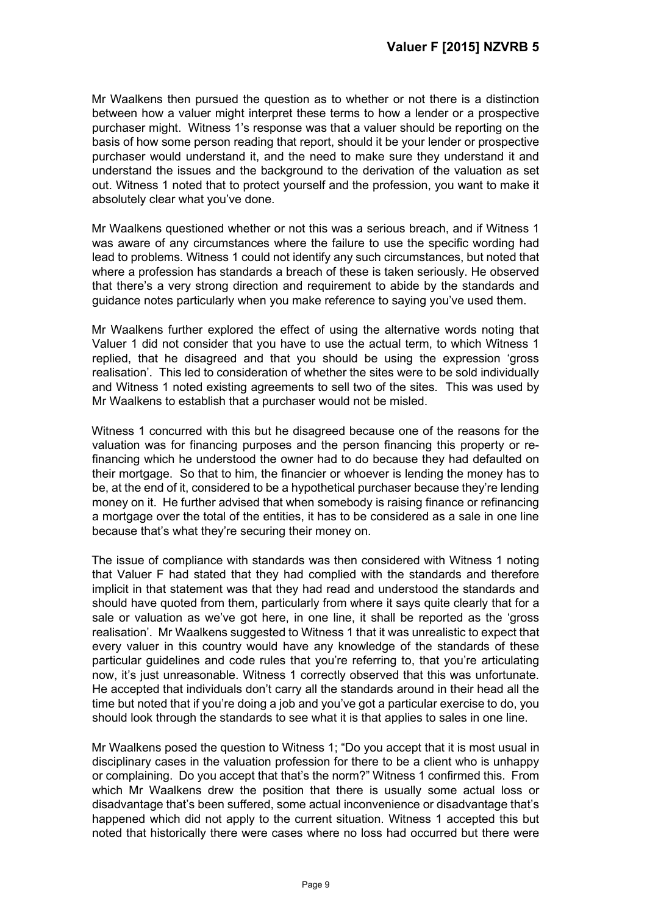Mr Waalkens then pursued the question as to whether or not there is a distinction between how a valuer might interpret these terms to how a lender or a prospective purchaser might. Witness 1's response was that a valuer should be reporting on the basis of how some person reading that report, should it be your lender or prospective purchaser would understand it, and the need to make sure they understand it and understand the issues and the background to the derivation of the valuation as set out. Witness 1 noted that to protect yourself and the profession, you want to make it absolutely clear what you've done.

Mr Waalkens questioned whether or not this was a serious breach, and if Witness 1 was aware of any circumstances where the failure to use the specific wording had lead to problems. Witness 1 could not identify any such circumstances, but noted that where a profession has standards a breach of these is taken seriously. He observed that there's a very strong direction and requirement to abide by the standards and guidance notes particularly when you make reference to saying you've used them.

Mr Waalkens further explored the effect of using the alternative words noting that Valuer 1 did not consider that you have to use the actual term, to which Witness 1 replied, that he disagreed and that you should be using the expression 'gross realisation'. This led to consideration of whether the sites were to be sold individually and Witness 1 noted existing agreements to sell two of the sites. This was used by Mr Waalkens to establish that a purchaser would not be misled.

Witness 1 concurred with this but he disagreed because one of the reasons for the valuation was for financing purposes and the person financing this property or refinancing which he understood the owner had to do because they had defaulted on their mortgage. So that to him, the financier or whoever is lending the money has to be, at the end of it, considered to be a hypothetical purchaser because they're lending money on it. He further advised that when somebody is raising finance or refinancing a mortgage over the total of the entities, it has to be considered as a sale in one line because that's what they're securing their money on.

The issue of compliance with standards was then considered with Witness 1 noting that Valuer F had stated that they had complied with the standards and therefore implicit in that statement was that they had read and understood the standards and should have quoted from them, particularly from where it says quite clearly that for a sale or valuation as we've got here, in one line, it shall be reported as the 'gross realisation'. Mr Waalkens suggested to Witness 1 that it was unrealistic to expect that every valuer in this country would have any knowledge of the standards of these particular guidelines and code rules that you're referring to, that you're articulating now, it's just unreasonable. Witness 1 correctly observed that this was unfortunate. He accepted that individuals don't carry all the standards around in their head all the time but noted that if you're doing a job and you've got a particular exercise to do, you should look through the standards to see what it is that applies to sales in one line.

Mr Waalkens posed the question to Witness 1; "Do you accept that it is most usual in disciplinary cases in the valuation profession for there to be a client who is unhappy or complaining. Do you accept that that's the norm?" Witness 1 confirmed this. From which Mr Waalkens drew the position that there is usually some actual loss or disadvantage that's been suffered, some actual inconvenience or disadvantage that's happened which did not apply to the current situation. Witness 1 accepted this but noted that historically there were cases where no loss had occurred but there were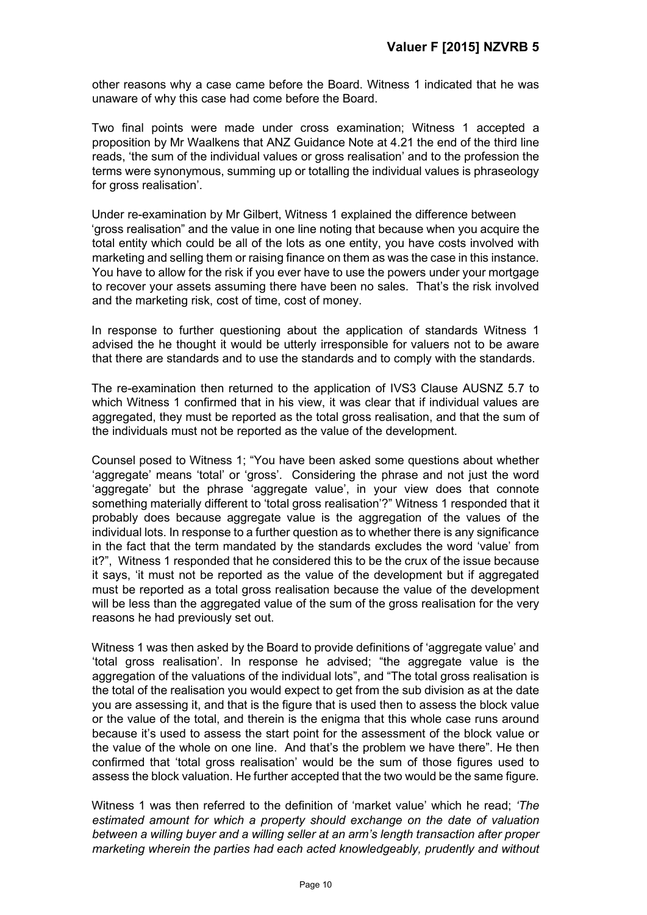other reasons why a case came before the Board. Witness 1 indicated that he was unaware of why this case had come before the Board.

Two final points were made under cross examination; Witness 1 accepted a proposition by Mr Waalkens that ANZ Guidance Note at 4.21 the end of the third line reads, 'the sum of the individual values or gross realisation' and to the profession the terms were synonymous, summing up or totalling the individual values is phraseology for gross realisation'.

Under re-examination by Mr Gilbert, Witness 1 explained the difference between 'gross realisation" and the value in one line noting that because when you acquire the total entity which could be all of the lots as one entity, you have costs involved with marketing and selling them or raising finance on them as was the case in this instance. You have to allow for the risk if you ever have to use the powers under your mortgage to recover your assets assuming there have been no sales. That's the risk involved and the marketing risk, cost of time, cost of money.

In response to further questioning about the application of standards Witness 1 advised the he thought it would be utterly irresponsible for valuers not to be aware that there are standards and to use the standards and to comply with the standards.

The re-examination then returned to the application of IVS3 Clause AUSNZ 5.7 to which Witness 1 confirmed that in his view, it was clear that if individual values are aggregated, they must be reported as the total gross realisation, and that the sum of the individuals must not be reported as the value of the development.

Counsel posed to Witness 1; "You have been asked some questions about whether 'aggregate' means 'total' or 'gross'. Considering the phrase and not just the word 'aggregate' but the phrase 'aggregate value', in your view does that connote something materially different to 'total gross realisation'?" Witness 1 responded that it probably does because aggregate value is the aggregation of the values of the individual lots. In response to a further question as to whether there is any significance in the fact that the term mandated by the standards excludes the word 'value' from it?", Witness 1 responded that he considered this to be the crux of the issue because it says, 'it must not be reported as the value of the development but if aggregated must be reported as a total gross realisation because the value of the development will be less than the aggregated value of the sum of the gross realisation for the very reasons he had previously set out.

Witness 1 was then asked by the Board to provide definitions of 'aggregate value' and 'total gross realisation'. In response he advised; "the aggregate value is the aggregation of the valuations of the individual lots", and "The total gross realisation is the total of the realisation you would expect to get from the sub division as at the date you are assessing it, and that is the figure that is used then to assess the block value or the value of the total, and therein is the enigma that this whole case runs around because it's used to assess the start point for the assessment of the block value or the value of the whole on one line. And that's the problem we have there". He then confirmed that 'total gross realisation' would be the sum of those figures used to assess the block valuation. He further accepted that the two would be the same figure.

Witness 1 was then referred to the definition of 'market value' which he read; *'The estimated amount for which a property should exchange on the date of valuation between a willing buyer and a willing seller at an arm's length transaction after proper marketing wherein the parties had each acted knowledgeably, prudently and without*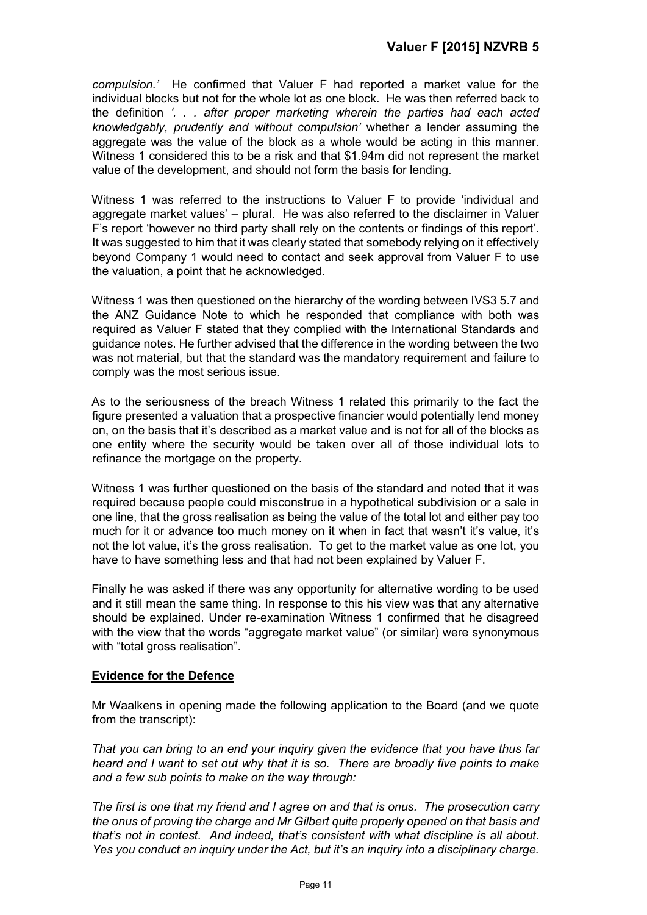*compulsion.'* He confirmed that Valuer F had reported a market value for the individual blocks but not for the whole lot as one block. He was then referred back to the definition *'. . . after proper marketing wherein the parties had each acted knowledgably, prudently and without compulsion'* whether a lender assuming the aggregate was the value of the block as a whole would be acting in this manner. Witness 1 considered this to be a risk and that \$1.94m did not represent the market value of the development, and should not form the basis for lending.

Witness 1 was referred to the instructions to Valuer F to provide 'individual and aggregate market values' – plural. He was also referred to the disclaimer in Valuer F's report 'however no third party shall rely on the contents or findings of this report'. It was suggested to him that it was clearly stated that somebody relying on it effectively beyond Company 1 would need to contact and seek approval from Valuer F to use the valuation, a point that he acknowledged.

Witness 1 was then questioned on the hierarchy of the wording between IVS3 5.7 and the ANZ Guidance Note to which he responded that compliance with both was required as Valuer F stated that they complied with the International Standards and guidance notes. He further advised that the difference in the wording between the two was not material, but that the standard was the mandatory requirement and failure to comply was the most serious issue.

As to the seriousness of the breach Witness 1 related this primarily to the fact the figure presented a valuation that a prospective financier would potentially lend money on, on the basis that it's described as a market value and is not for all of the blocks as one entity where the security would be taken over all of those individual lots to refinance the mortgage on the property.

Witness 1 was further questioned on the basis of the standard and noted that it was required because people could misconstrue in a hypothetical subdivision or a sale in one line, that the gross realisation as being the value of the total lot and either pay too much for it or advance too much money on it when in fact that wasn't it's value, it's not the lot value, it's the gross realisation. To get to the market value as one lot, you have to have something less and that had not been explained by Valuer F.

Finally he was asked if there was any opportunity for alternative wording to be used and it still mean the same thing. In response to this his view was that any alternative should be explained. Under re-examination Witness 1 confirmed that he disagreed with the view that the words "aggregate market value" (or similar) were synonymous with "total gross realisation".

## **Evidence for the Defence**

Mr Waalkens in opening made the following application to the Board (and we quote from the transcript):

*That you can bring to an end your inquiry given the evidence that you have thus far heard and I want to set out why that it is so. There are broadly five points to make and a few sub points to make on the way through:* 

*The first is one that my friend and I agree on and that is onus. The prosecution carry the onus of proving the charge and Mr Gilbert quite properly opened on that basis and that's not in contest. And indeed, that's consistent with what discipline is all about. Yes you conduct an inquiry under the Act, but it's an inquiry into a disciplinary charge.*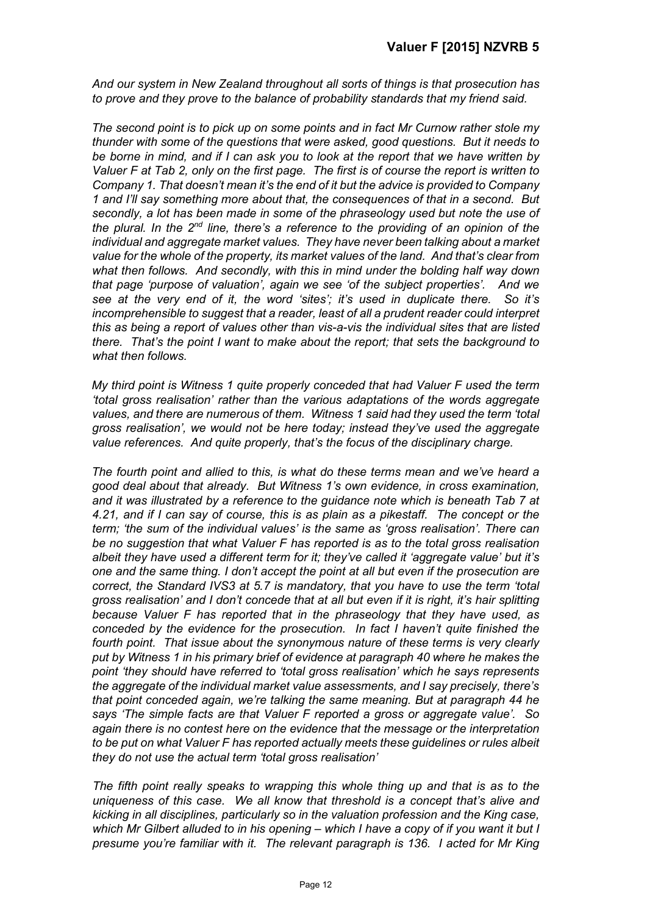*And our system in New Zealand throughout all sorts of things is that prosecution has to prove and they prove to the balance of probability standards that my friend said.* 

*The second point is to pick up on some points and in fact Mr Curnow rather stole my thunder with some of the questions that were asked, good questions. But it needs to be borne in mind, and if I can ask you to look at the report that we have written by Valuer F at Tab 2, only on the first page. The first is of course the report is written to Company 1. That doesn't mean it's the end of it but the advice is provided to Company 1 and I'll say something more about that, the consequences of that in a second. But secondly, a lot has been made in some of the phraseology used but note the use of the plural. In the 2nd line, there's a reference to the providing of an opinion of the individual and aggregate market values. They have never been talking about a market value for the whole of the property, its market values of the land. And that's clear from what then follows. And secondly, with this in mind under the bolding half way down that page 'purpose of valuation', again we see 'of the subject properties'. And we see at the very end of it, the word 'sites'; it's used in duplicate there. So it's incomprehensible to suggest that a reader, least of all a prudent reader could interpret this as being a report of values other than vis-a-vis the individual sites that are listed there. That's the point I want to make about the report; that sets the background to what then follows.* 

*My third point is Witness 1 quite properly conceded that had Valuer F used the term 'total gross realisation' rather than the various adaptations of the words aggregate values, and there are numerous of them. Witness 1 said had they used the term 'total gross realisation', we would not be here today; instead they've used the aggregate value references. And quite properly, that's the focus of the disciplinary charge.* 

*The fourth point and allied to this, is what do these terms mean and we've heard a good deal about that already. But Witness 1's own evidence, in cross examination, and it was illustrated by a reference to the guidance note which is beneath Tab 7 at 4.21, and if I can say of course, this is as plain as a pikestaff. The concept or the term; 'the sum of the individual values' is the same as 'gross realisation'. There can be no suggestion that what Valuer F has reported is as to the total gross realisation albeit they have used a different term for it; they've called it 'aggregate value' but it's one and the same thing. I don't accept the point at all but even if the prosecution are correct, the Standard IVS3 at 5.7 is mandatory, that you have to use the term 'total gross realisation' and I don't concede that at all but even if it is right, it's hair splitting because Valuer F has reported that in the phraseology that they have used, as conceded by the evidence for the prosecution. In fact I haven't quite finished the fourth point. That issue about the synonymous nature of these terms is very clearly put by Witness 1 in his primary brief of evidence at paragraph 40 where he makes the point 'they should have referred to 'total gross realisation' which he says represents the aggregate of the individual market value assessments, and I say precisely, there's that point conceded again, we're talking the same meaning. But at paragraph 44 he says 'The simple facts are that Valuer F reported a gross or aggregate value'. So again there is no contest here on the evidence that the message or the interpretation to be put on what Valuer F has reported actually meets these guidelines or rules albeit they do not use the actual term 'total gross realisation'*

*The fifth point really speaks to wrapping this whole thing up and that is as to the uniqueness of this case. We all know that threshold is a concept that's alive and kicking in all disciplines, particularly so in the valuation profession and the King case, which Mr Gilbert alluded to in his opening – which I have a copy of if you want it but I presume you're familiar with it. The relevant paragraph is 136. I acted for Mr King*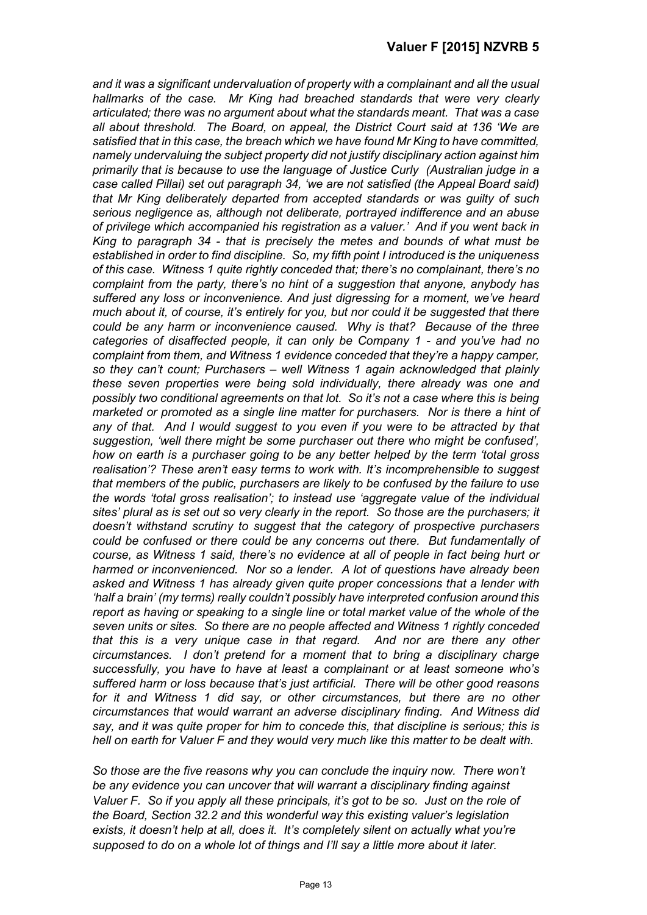*and it was a significant undervaluation of property with a complainant and all the usual hallmarks of the case. Mr King had breached standards that were very clearly articulated; there was no argument about what the standards meant. That was a case all about threshold. The Board, on appeal, the District Court said at 136 'We are satisfied that in this case, the breach which we have found Mr King to have committed, namely undervaluing the subject property did not justify disciplinary action against him primarily that is because to use the language of Justice Curly (Australian judge in a case called Pillai) set out paragraph 34, 'we are not satisfied (the Appeal Board said) that Mr King deliberately departed from accepted standards or was guilty of such serious negligence as, although not deliberate, portrayed indifference and an abuse of privilege which accompanied his registration as a valuer.' And if you went back in King to paragraph 34 - that is precisely the metes and bounds of what must be established in order to find discipline. So, my fifth point I introduced is the uniqueness of this case. Witness 1 quite rightly conceded that; there's no complainant, there's no complaint from the party, there's no hint of a suggestion that anyone, anybody has suffered any loss or inconvenience. And just digressing for a moment, we've heard much about it, of course, it's entirely for you, but nor could it be suggested that there could be any harm or inconvenience caused. Why is that? Because of the three categories of disaffected people, it can only be Company 1 - and you've had no complaint from them, and Witness 1 evidence conceded that they're a happy camper, so they can't count; Purchasers – well Witness 1 again acknowledged that plainly these seven properties were being sold individually, there already was one and possibly two conditional agreements on that lot. So it's not a case where this is being marketed or promoted as a single line matter for purchasers. Nor is there a hint of*  any of that. And I would suggest to you even if you were to be attracted by that *suggestion, 'well there might be some purchaser out there who might be confused', how on earth is a purchaser going to be any better helped by the term 'total gross realisation'? These aren't easy terms to work with. It's incomprehensible to suggest that members of the public, purchasers are likely to be confused by the failure to use the words 'total gross realisation'; to instead use 'aggregate value of the individual sites' plural as is set out so very clearly in the report. So those are the purchasers; it doesn't withstand scrutiny to suggest that the category of prospective purchasers could be confused or there could be any concerns out there. But fundamentally of course, as Witness 1 said, there's no evidence at all of people in fact being hurt or harmed or inconvenienced. Nor so a lender. A lot of questions have already been asked and Witness 1 has already given quite proper concessions that a lender with 'half a brain' (my terms) really couldn't possibly have interpreted confusion around this report as having or speaking to a single line or total market value of the whole of the seven units or sites. So there are no people affected and Witness 1 rightly conceded that this is a very unique case in that regard. And nor are there any other circumstances. I don't pretend for a moment that to bring a disciplinary charge successfully, you have to have at least a complainant or at least someone who's suffered harm or loss because that's just artificial. There will be other good reasons for it and Witness 1 did say, or other circumstances, but there are no other circumstances that would warrant an adverse disciplinary finding. And Witness did say, and it was quite proper for him to concede this, that discipline is serious; this is hell on earth for Valuer F and they would very much like this matter to be dealt with.* 

*So those are the five reasons why you can conclude the inquiry now. There won't be any evidence you can uncover that will warrant a disciplinary finding against Valuer F. So if you apply all these principals, it's got to be so. Just on the role of the Board, Section 32.2 and this wonderful way this existing valuer's legislation exists, it doesn't help at all, does it. It's completely silent on actually what you're supposed to do on a whole lot of things and I'll say a little more about it later.*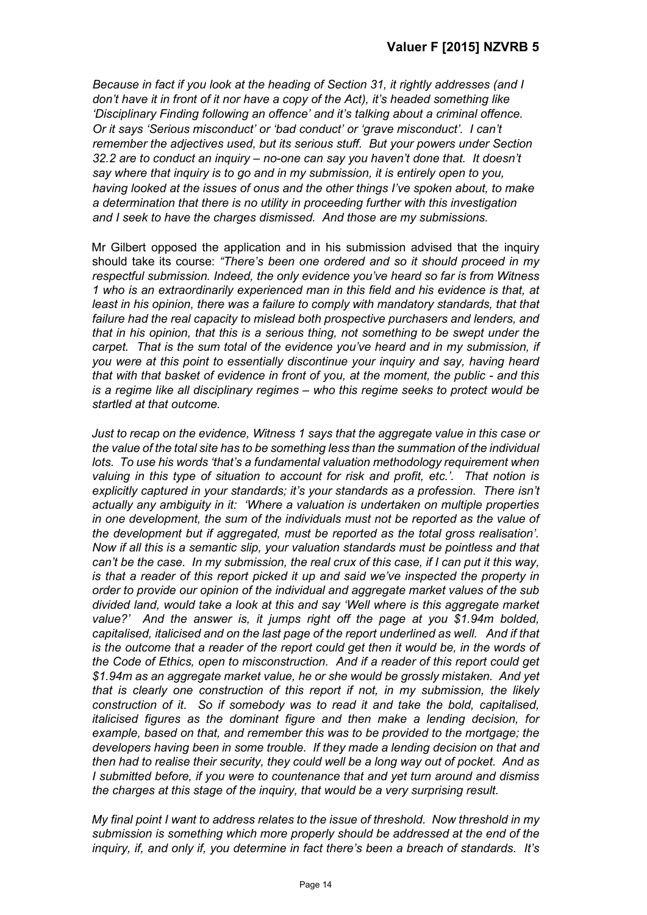*Because in fact if you look at the heading of Section 31, it rightly addresses (and I don't have it in front of it nor have a copy of the Act), it's headed something like 'Disciplinary Finding following an offence' and it's talking about a criminal offence. Or it says 'Serious misconduct' or 'bad conduct' or 'grave misconduct'. I can't remember the adjectives used, but its serious stuff. But your powers under Section 32.2 are to conduct an inquiry – no-one can say you haven't done that. It doesn't say where that inquiry is to go and in my submission, it is entirely open to you, having looked at the issues of onus and the other things I've spoken about, to make a determination that there is no utility in proceeding further with this investigation and I seek to have the charges dismissed. And those are my submissions.* 

Mr Gilbert opposed the application and in his submission advised that the inquiry should take its course: *"There's been one ordered and so it should proceed in my respectful submission. Indeed, the only evidence you've heard so far is from Witness 1 who is an extraordinarily experienced man in this field and his evidence is that, at least in his opinion, there was a failure to comply with mandatory standards, that that failure had the real capacity to mislead both prospective purchasers and lenders, and that in his opinion, that this is a serious thing, not something to be swept under the carpet. That is the sum total of the evidence you've heard and in my submission, if you were at this point to essentially discontinue your inquiry and say, having heard that with that basket of evidence in front of you, at the moment, the public - and this is a regime like all disciplinary regimes – who this regime seeks to protect would be startled at that outcome.* 

*Just to recap on the evidence, Witness 1 says that the aggregate value in this case or the value of the total site has to be something less than the summation of the individual lots. To use his words 'that's a fundamental valuation methodology requirement when valuing in this type of situation to account for risk and profit, etc.'. That notion is explicitly captured in your standards; it's your standards as a profession. There isn't actually any ambiguity in it: 'Where a valuation is undertaken on multiple properties in one development, the sum of the individuals must not be reported as the value of the development but if aggregated, must be reported as the total gross realisation'. Now if all this is a semantic slip, your valuation standards must be pointless and that can't be the case. In my submission, the real crux of this case, if I can put it this way, is that a reader of this report picked it up and said we've inspected the property in order to provide our opinion of the individual and aggregate market values of the sub divided land, would take a look at this and say 'Well where is this aggregate market value?' And the answer is, it jumps right off the page at you \$1.94m bolded, capitalised, italicised and on the last page of the report underlined as well. And if that is the outcome that a reader of the report could get then it would be, in the words of the Code of Ethics, open to misconstruction. And if a reader of this report could get \$1.94m as an aggregate market value, he or she would be grossly mistaken. And yet that is clearly one construction of this report if not, in my submission, the likely construction of it. So if somebody was to read it and take the bold, capitalised, italicised figures as the dominant figure and then make a lending decision, for example, based on that, and remember this was to be provided to the mortgage; the developers having been in some trouble. If they made a lending decision on that and then had to realise their security, they could well be a long way out of pocket. And as I submitted before, if you were to countenance that and yet turn around and dismiss the charges at this stage of the inquiry, that would be a very surprising result.* 

*My final point I want to address relates to the issue of threshold. Now threshold in my submission is something which more properly should be addressed at the end of the inquiry, if, and only if, you determine in fact there's been a breach of standards. It's*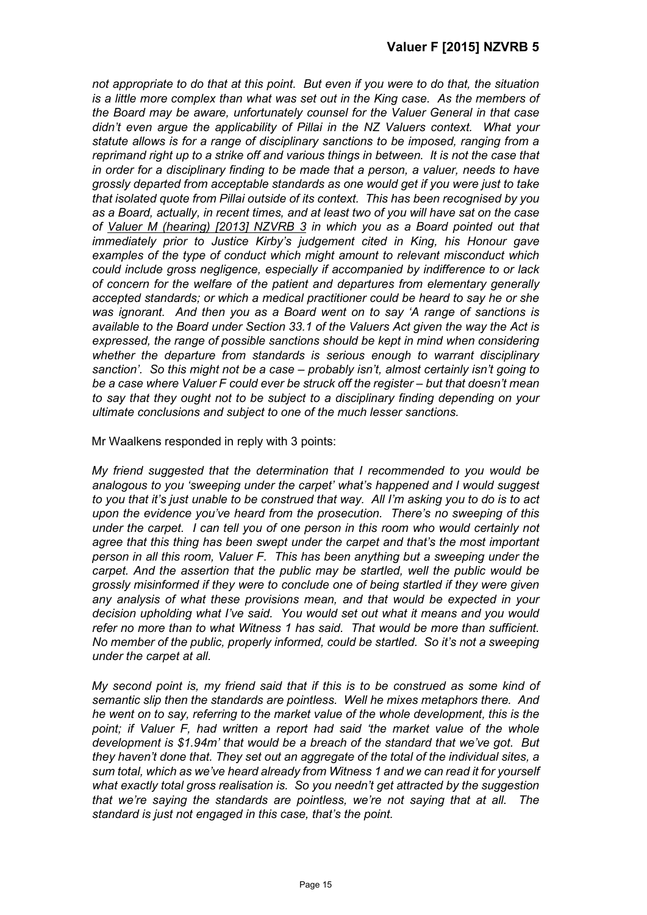*not appropriate to do that at this point. But even if you were to do that, the situation is a little more complex than what was set out in the King case. As the members of the Board may be aware, unfortunately counsel for the Valuer General in that case didn't even argue the applicability of Pillai in the NZ Valuers context. What your statute allows is for a range of disciplinary sanctions to be imposed, ranging from a reprimand right up to a strike off and various things in between. It is not the case that in order for a disciplinary finding to be made that a person, a valuer, needs to have grossly departed from acceptable standards as one would get if you were just to take that isolated quote from Pillai outside of its context. This has been recognised by you as a Board, actually, in recent times, and at least two of you will have sat on the case of Valuer M (hearing) [2013] NZVRB 3 in which you as a Board pointed out that immediately prior to Justice Kirby's judgement cited in King, his Honour gave examples of the type of conduct which might amount to relevant misconduct which could include gross negligence, especially if accompanied by indifference to or lack of concern for the welfare of the patient and departures from elementary generally accepted standards; or which a medical practitioner could be heard to say he or she was ignorant. And then you as a Board went on to say 'A range of sanctions is available to the Board under Section 33.1 of the Valuers Act given the way the Act is expressed, the range of possible sanctions should be kept in mind when considering whether the departure from standards is serious enough to warrant disciplinary sanction'. So this might not be a case – probably isn't, almost certainly isn't going to be a case where Valuer F could ever be struck off the register – but that doesn't mean to say that they ought not to be subject to a disciplinary finding depending on your ultimate conclusions and subject to one of the much lesser sanctions.*

Mr Waalkens responded in reply with 3 points:

*My friend suggested that the determination that I recommended to you would be analogous to you 'sweeping under the carpet' what's happened and I would suggest to you that it's just unable to be construed that way. All I'm asking you to do is to act upon the evidence you've heard from the prosecution. There's no sweeping of this under the carpet. I can tell you of one person in this room who would certainly not agree that this thing has been swept under the carpet and that's the most important person in all this room, Valuer F. This has been anything but a sweeping under the carpet. And the assertion that the public may be startled, well the public would be grossly misinformed if they were to conclude one of being startled if they were given any analysis of what these provisions mean, and that would be expected in your decision upholding what I've said. You would set out what it means and you would refer no more than to what Witness 1 has said. That would be more than sufficient. No member of the public, properly informed, could be startled. So it's not a sweeping under the carpet at all.* 

*My second point is, my friend said that if this is to be construed as some kind of semantic slip then the standards are pointless. Well he mixes metaphors there. And he went on to say, referring to the market value of the whole development, this is the point; if Valuer F, had written a report had said 'the market value of the whole development is \$1.94m' that would be a breach of the standard that we've got. But they haven't done that. They set out an aggregate of the total of the individual sites, a sum total, which as we've heard already from Witness 1 and we can read it for yourself what exactly total gross realisation is. So you needn't get attracted by the suggestion that we're saying the standards are pointless, we're not saying that at all. The standard is just not engaged in this case, that's the point.*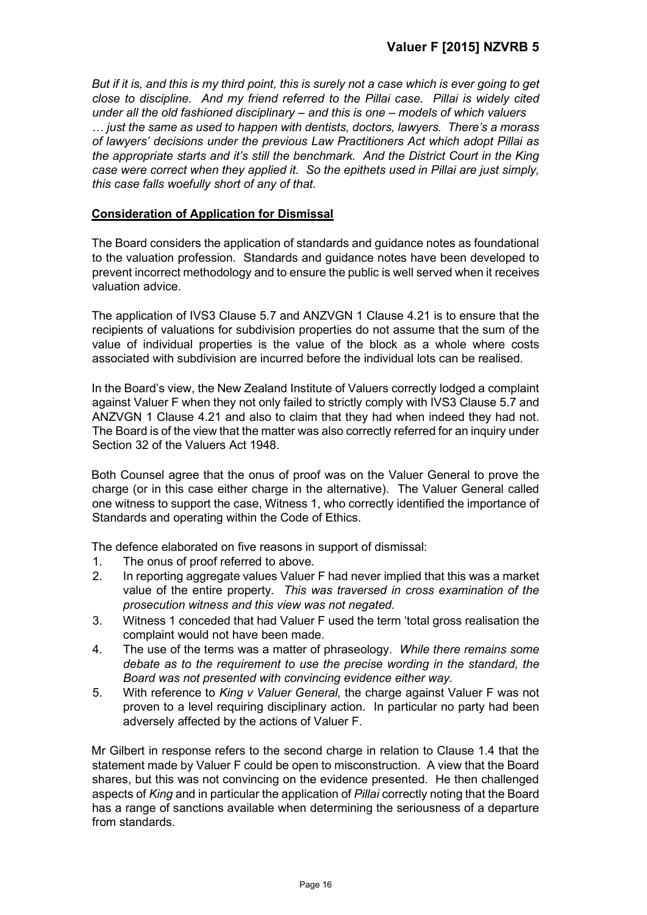*But if it is, and this is my third point, this is surely not a case which is ever going to get close to discipline. And my friend referred to the Pillai case. Pillai is widely cited under all the old fashioned disciplinary – and this is one – models of which valuers … just the same as used to happen with dentists, doctors, lawyers. There's a morass of lawyers' decisions under the previous Law Practitioners Act which adopt Pillai as the appropriate starts and it's still the benchmark. And the District Court in the King case were correct when they applied it. So the epithets used in Pillai are just simply, this case falls woefully short of any of that.*

## **Consideration of Application for Dismissal**

The Board considers the application of standards and guidance notes as foundational to the valuation profession. Standards and guidance notes have been developed to prevent incorrect methodology and to ensure the public is well served when it receives valuation advice.

The application of IVS3 Clause 5.7 and ANZVGN 1 Clause 4.21 is to ensure that the recipients of valuations for subdivision properties do not assume that the sum of the value of individual properties is the value of the block as a whole where costs associated with subdivision are incurred before the individual lots can be realised.

In the Board's view, the New Zealand Institute of Valuers correctly lodged a complaint against Valuer F when they not only failed to strictly comply with IVS3 Clause 5.7 and ANZVGN 1 Clause 4.21 and also to claim that they had when indeed they had not. The Board is of the view that the matter was also correctly referred for an inquiry under Section 32 of the Valuers Act 1948.

Both Counsel agree that the onus of proof was on the Valuer General to prove the charge (or in this case either charge in the alternative). The Valuer General called one witness to support the case, Witness 1, who correctly identified the importance of Standards and operating within the Code of Ethics.

The defence elaborated on five reasons in support of dismissal:

- 1. The onus of proof referred to above.
- 2. In reporting aggregate values Valuer F had never implied that this was a market value of the entire property. *This was traversed in cross examination of the prosecution witness and this view was not negated.*
- 3. Witness 1 conceded that had Valuer F used the term 'total gross realisation the complaint would not have been made.
- 4. The use of the terms was a matter of phraseology. *While there remains some debate as to the requirement to use the precise wording in the standard, the Board was not presented with convincing evidence either way.*
- 5. With reference to *King v Valuer General,* the charge against Valuer F was not proven to a level requiring disciplinary action. In particular no party had been adversely affected by the actions of Valuer F.

Mr Gilbert in response refers to the second charge in relation to Clause 1.4 that the statement made by Valuer F could be open to misconstruction. A view that the Board shares, but this was not convincing on the evidence presented. He then challenged aspects of *King* and in particular the application of *Pillai* correctly noting that the Board has a range of sanctions available when determining the seriousness of a departure from standards.